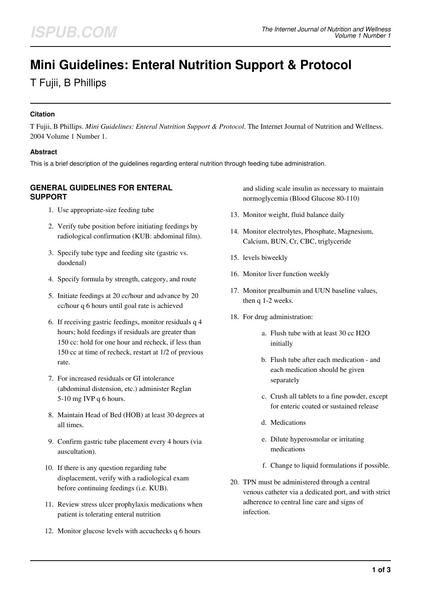# **Mini Guidelines: Enteral Nutrition Support & Protocol**

T Fujii, B Phillips

## **Citation**

T Fujii, B Phillips. *Mini Guidelines: Enteral Nutrition Support & Protocol*. The Internet Journal of Nutrition and Wellness. 2004 Volume 1 Number 1.

## **Abstract**

This is a brief description of the guidelines regarding enteral nutrition through feeding tube administration.

# **GENERAL GUIDELINES FOR ENTERAL SUPPORT**

- 1. Use appropriate-size feeding tube
- 2. Verify tube position before initiating feedings by radiological confirmation (KUB: abdominal film).
- 3. Specify tube type and feeding site (gastric vs. duodenal)
- 4. Specify formula by strength, category, and route
- 5. Initiate feedings at 20 cc/hour and advance by 20 cc/hour q 6 hours until goal rate is achieved
- 6. If receiving gastric feedings, monitor residuals q 4 hours; hold feedings if residuals are greater than 150 cc: hold for one hour and recheck, if less than 150 cc at time of recheck, restart at 1/2 of previous rate.
- 7. For increased residuals or GI intolerance (abdominal distension, etc.) administer Reglan 5-10 mg IVP q 6 hours.
- 8. Maintain Head of Bed (HOB) at least 30 degrees at all times.
- 9. Confirm gastric tube placement every 4 hours (via auscultation).
- 10. If there is any question regarding tube displacement, verify with a radiological exam before continuing feedings (i.e. KUB).
- 11. Review stress ulcer prophylaxis medications when patient is tolerating enteral nutrition
- 12. Monitor glucose levels with accuchecks q 6 hours

and sliding scale insulin as necessary to maintain normoglycemia (Blood Glucose 80-110)

- 13. Monitor weight, fluid balance daily
- 14. Monitor electrolytes, Phosphate, Magnesium, Calcium, BUN, Cr, CBC, triglyceride
- 15. levels biweekly
- 16. Monitor liver function weekly
- 17. Monitor prealbumin and UUN baseline values, then q 1-2 weeks.
- 18. For drug administration:
	- a. Flush tube with at least 30 cc H2O initially
	- b. Flush tube after each medication and each medication should be given separately
	- c. Crush all tablets to a fine powder, except for enteric coated or sustained release
	- d. Medications
	- e. Dilute hyperosmolar or irritating medications
	- f. Change to liquid formulations if possible.
- 20. TPN must be administered through a central venous catheter via a dedicated port, and with strict adherence to central line care and signs of infection.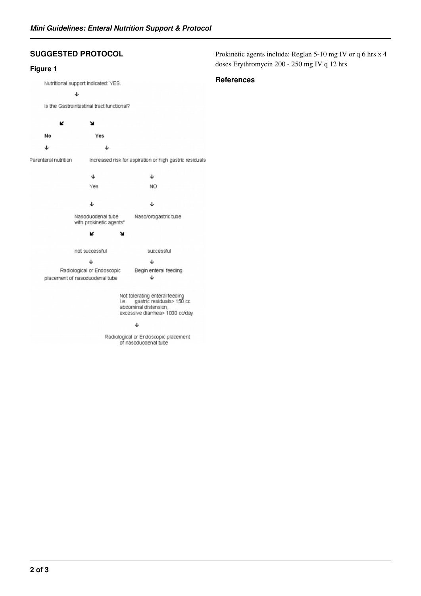# **SUGGESTED PROTOCOL**

## **Figure 1**

Nutritional support indicated: YES.  $\downarrow$ Is the Gastrointestinal tract functional? K ¥ No Yes  $\downarrow$ J Parenteral nutrition Increased risk for aspiration or high gastric residuals  $\downarrow$  $\downarrow$ NO Yes ↓ ↓ Nasoduodenal tube Naso/orogastric tube with prokinetic agents\* K ¥ not successful successful  $\downarrow$  $\downarrow$ Begin enteral feeding Radiological or Endoscopic placement of nasoduodenal tube  $\downarrow$ Not tolerating enteral feeding<br>i.e. gastric residuals> 150 cc abdominal distension,<br>excessive diamhea> 1000 cc/day

#### J

Radiological or Endoscopic placement of nasoduodenal tube

Prokinetic agents include: Reglan 5-10 mg IV or q 6 hrs x 4 doses Erythromycin 200 - 250 mg IV q 12 hrs

### **References**